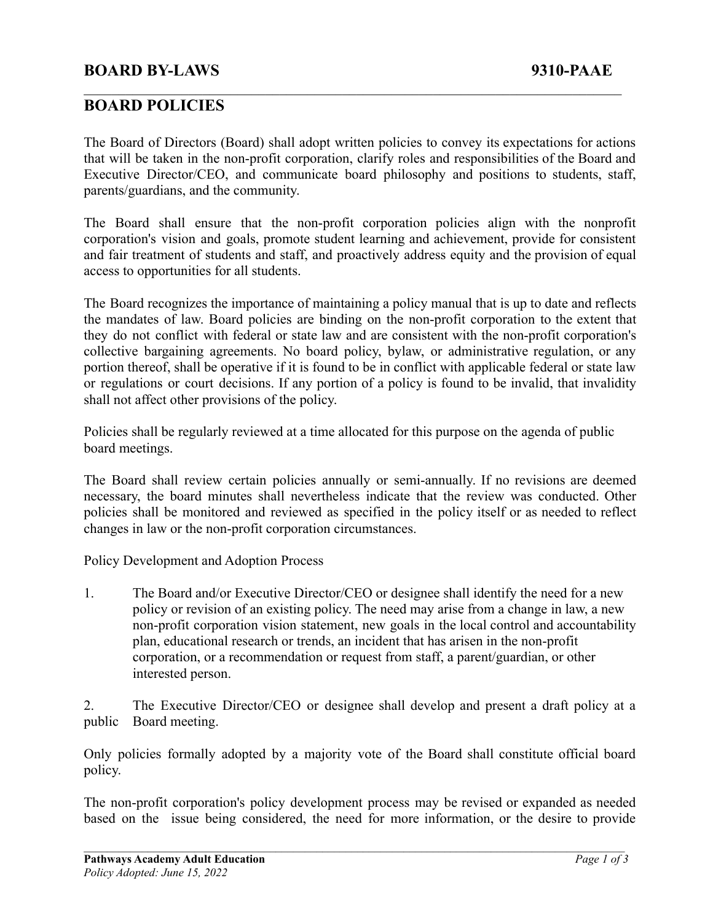## **BOARD BY-LAWS 9310-PAAE**

### **BOARD POLICIES**

The Board of Directors (Board) shall adopt written policies to convey its expectations for actions that will be taken in the non-profit corporation, clarify roles and responsibilities of the Board and Executive Director/CEO, and communicate board philosophy and positions to students, staff, parents/guardians, and the community.

 $\mathcal{L}_\mathcal{L} = \{ \mathcal{L}_\mathcal{L} = \{ \mathcal{L}_\mathcal{L} = \{ \mathcal{L}_\mathcal{L} = \{ \mathcal{L}_\mathcal{L} = \{ \mathcal{L}_\mathcal{L} = \{ \mathcal{L}_\mathcal{L} = \{ \mathcal{L}_\mathcal{L} = \{ \mathcal{L}_\mathcal{L} = \{ \mathcal{L}_\mathcal{L} = \{ \mathcal{L}_\mathcal{L} = \{ \mathcal{L}_\mathcal{L} = \{ \mathcal{L}_\mathcal{L} = \{ \mathcal{L}_\mathcal{L} = \{ \mathcal{L}_\mathcal{$ 

The Board shall ensure that the non-profit corporation policies align with the nonprofit corporation's vision and goals, promote student learning and achievement, provide for consistent and fair treatment of students and staff, and proactively address equity and the provision of equal access to opportunities for all students.

The Board recognizes the importance of maintaining a policy manual that is up to date and reflects the mandates of law. Board policies are binding on the non-profit corporation to the extent that they do not conflict with federal or state law and are consistent with the non-profit corporation's collective bargaining agreements. No board policy, bylaw, or administrative regulation, or any portion thereof, shall be operative if it is found to be in conflict with applicable federal or state law or regulations or court decisions. If any portion of a policy is found to be invalid, that invalidity shall not affect other provisions of the policy.

Policies shall be regularly reviewed at a time allocated for this purpose on the agenda of public board meetings.

The Board shall review certain policies annually or semi-annually. If no revisions are deemed necessary, the board minutes shall nevertheless indicate that the review was conducted. Other policies shall be monitored and reviewed as specified in the policy itself or as needed to reflect changes in law or the non-profit corporation circumstances.

Policy Development and Adoption Process

1. The Board and/or Executive Director/CEO or designee shall identify the need for a new policy or revision of an existing policy. The need may arise from a change in law, a new non-profit corporation vision statement, new goals in the local control and accountability plan, educational research or trends, an incident that has arisen in the non-profit corporation, or a recommendation or request from staff, a parent/guardian, or other interested person.

2. The Executive Director/CEO or designee shall develop and present a draft policy at a public Board meeting.

Only policies formally adopted by a majority vote of the Board shall constitute official board policy.

The non-profit corporation's policy development process may be revised or expanded as needed based on the issue being considered, the need for more information, or the desire to provide

 $\mathcal{L}_\mathcal{L} = \{ \mathcal{L}_\mathcal{L} = \{ \mathcal{L}_\mathcal{L} = \{ \mathcal{L}_\mathcal{L} = \{ \mathcal{L}_\mathcal{L} = \{ \mathcal{L}_\mathcal{L} = \{ \mathcal{L}_\mathcal{L} = \{ \mathcal{L}_\mathcal{L} = \{ \mathcal{L}_\mathcal{L} = \{ \mathcal{L}_\mathcal{L} = \{ \mathcal{L}_\mathcal{L} = \{ \mathcal{L}_\mathcal{L} = \{ \mathcal{L}_\mathcal{L} = \{ \mathcal{L}_\mathcal{L} = \{ \mathcal{L}_\mathcal{$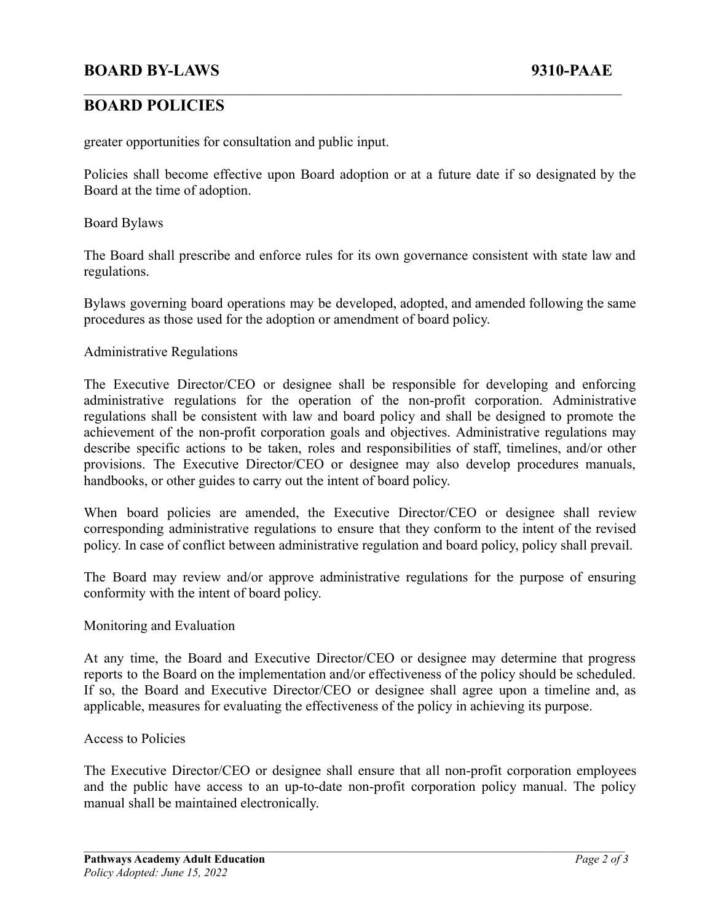## **BOARD POLICIES**

greater opportunities for consultation and public input.

Policies shall become effective upon Board adoption or at a future date if so designated by the Board at the time of adoption.

 $\mathcal{L}_\mathcal{L} = \{ \mathcal{L}_\mathcal{L} = \{ \mathcal{L}_\mathcal{L} = \{ \mathcal{L}_\mathcal{L} = \{ \mathcal{L}_\mathcal{L} = \{ \mathcal{L}_\mathcal{L} = \{ \mathcal{L}_\mathcal{L} = \{ \mathcal{L}_\mathcal{L} = \{ \mathcal{L}_\mathcal{L} = \{ \mathcal{L}_\mathcal{L} = \{ \mathcal{L}_\mathcal{L} = \{ \mathcal{L}_\mathcal{L} = \{ \mathcal{L}_\mathcal{L} = \{ \mathcal{L}_\mathcal{L} = \{ \mathcal{L}_\mathcal{$ 

Board Bylaws

The Board shall prescribe and enforce rules for its own governance consistent with state law and regulations.

Bylaws governing board operations may be developed, adopted, and amended following the same procedures as those used for the adoption or amendment of board policy.

#### Administrative Regulations

The Executive Director/CEO or designee shall be responsible for developing and enforcing administrative regulations for the operation of the non-profit corporation. Administrative regulations shall be consistent with law and board policy and shall be designed to promote the achievement of the non-profit corporation goals and objectives. Administrative regulations may describe specific actions to be taken, roles and responsibilities of staff, timelines, and/or other provisions. The Executive Director/CEO or designee may also develop procedures manuals, handbooks, or other guides to carry out the intent of board policy.

When board policies are amended, the Executive Director/CEO or designee shall review corresponding administrative regulations to ensure that they conform to the intent of the revised policy. In case of conflict between administrative regulation and board policy, policy shall prevail.

The Board may review and/or approve administrative regulations for the purpose of ensuring conformity with the intent of board policy.

#### Monitoring and Evaluation

At any time, the Board and Executive Director/CEO or designee may determine that progress reports to the Board on the implementation and/or effectiveness of the policy should be scheduled. If so, the Board and Executive Director/CEO or designee shall agree upon a timeline and, as applicable, measures for evaluating the effectiveness of the policy in achieving its purpose.

#### Access to Policies

The Executive Director/CEO or designee shall ensure that all non-profit corporation employees and the public have access to an up-to-date non-profit corporation policy manual. The policy manual shall be maintained electronically.

 $\mathcal{L}_\mathcal{L} = \{ \mathcal{L}_\mathcal{L} = \{ \mathcal{L}_\mathcal{L} = \{ \mathcal{L}_\mathcal{L} = \{ \mathcal{L}_\mathcal{L} = \{ \mathcal{L}_\mathcal{L} = \{ \mathcal{L}_\mathcal{L} = \{ \mathcal{L}_\mathcal{L} = \{ \mathcal{L}_\mathcal{L} = \{ \mathcal{L}_\mathcal{L} = \{ \mathcal{L}_\mathcal{L} = \{ \mathcal{L}_\mathcal{L} = \{ \mathcal{L}_\mathcal{L} = \{ \mathcal{L}_\mathcal{L} = \{ \mathcal{L}_\mathcal{$